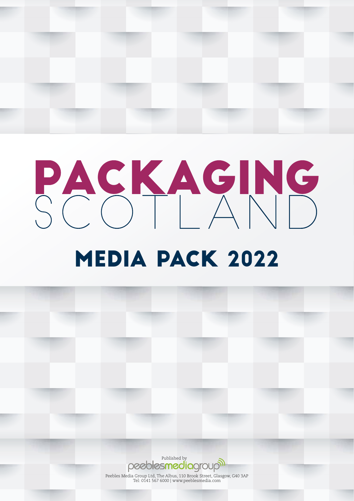# PACKAGING MEDIA PACK 2022

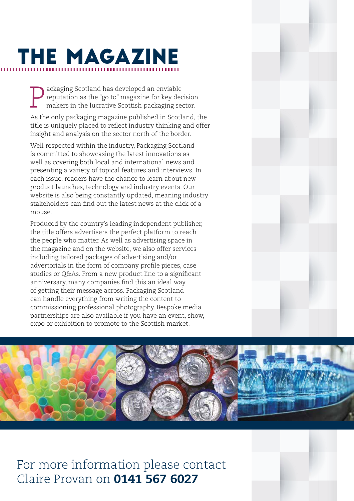# THE MAGAZIN

Packaging Scotland has developed an enviable<br>reputation as the "go to" magazine for key dec<br>makers in the lucrative Scottish packaging see reputation as the "go to" magazine for key decision makers in the lucrative Scottish packaging sector.

As the only packaging magazine published in Scotland, the title is uniquely placed to reflect industry thinking and offer insight and analysis on the sector north of the border.

Well respected within the industry, Packaging Scotland is committed to showcasing the latest innovations as well as covering both local and international news and presenting a variety of topical features and interviews. In each issue, readers have the chance to learn about new product launches, technology and industry events. Our website is also being constantly updated, meaning industry stakeholders can find out the latest news at the click of a mouse.

Produced by the country's leading independent publisher, the title offers advertisers the perfect platform to reach the people who matter. As well as advertising space in the magazine and on the website, we also offer services including tailored packages of advertising and/or advertorials in the form of company profile pieces, case studies or Q&As. From a new product line to a significant anniversary, many companies find this an ideal way of getting their message across. Packaging Scotland can handle everything from writing the content to commissioning professional photography. Bespoke media partnerships are also available if you have an event, show, expo or exhibition to promote to the Scottish market.





For more information please contact Claire Provan on 0141 567 6027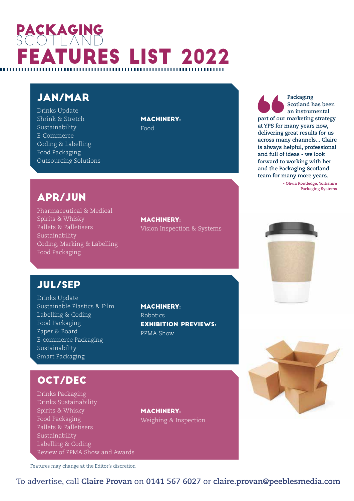# **PACKAGING** FEATURES LIST 2022

### JAN/MAR

Drinks Update Shrink & Stretch Sustainability E-Commerce Coding & Labelling Food Packaging Outsourcing Solutions

### MACHINERY:

Food

**Packaging Scotland has been an instrumental part of our marketing strategy at YPS for many years now, delivering great results for us across many channels... Claire is always helpful, professional and full of ideas - we look forward to working with her and the Packaging Scotland team for many more years.**

> **- Olivia Routledge, Yorkshire Packaging Systems**

## APR/JUN

Pharmaceutical & Medical Spirits & Whisky Pallets & Palletisers Sustainability Coding, Marking & Labelling Food Packaging

MACHINERY. Vision Inspection & Systems

### JUL/SEP

Drinks Update Sustainable Plastics & Film Labelling & Coding Food Packaging Paper & Board E-commerce Packaging Sustainability Smart Packaging

# OCT/DEC

Drinks Packaging Drinks Sustainability Spirits & Whisky Food Packaging Pallets & Palletisers Sustainability Labelling & Coding Review of PPMA Show and Awards MACHINERY: Robotics EXHIBITION PREVIEWS: PPMA Show

Features may change at the Editor's discretion



Weighing & Inspection

**MACHINERY:**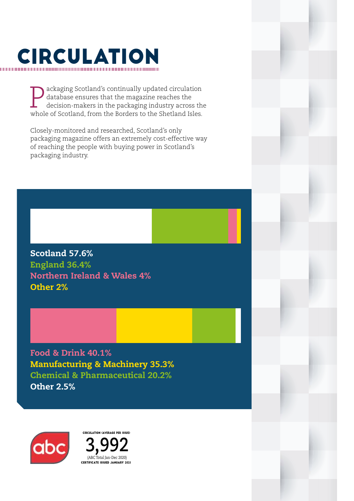

P ackaging Scotland's continually updated circulation<br>database ensures that the magazine reaches the<br>decision-makers in the packaging industry across the<br>whole of Scotland from the Bordors to the Sbotland Isles database ensures that the magazine reaches the decision-makers in the packaging industry across the whole of Scotland, from the Borders to the Shetland Isles.

Closely-monitored and researched, Scotland's only packaging magazine offers an extremely cost-effective way of reaching the people with buying power in Scotland's packaging industry.

Scotland 57.6% England 36.4% Northern Ireland & Wales 4% Other 2%

Food & Drink 40.1% Manufacturing & Machinery 35.3% Chemical & Pharmaceutical 20.2% Other 2.5%



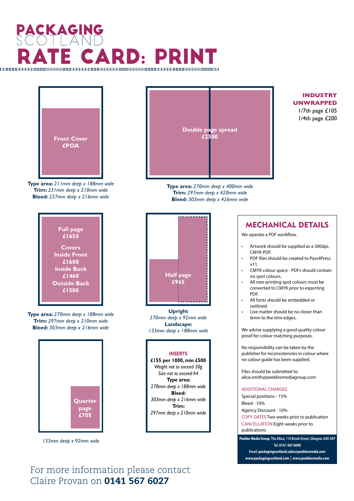



**Type area:** *211mm deep x 188mm wide* **Trim:** *231mm deep x 210mm wide* **Bleed:** *237mm deep x 216mm wide*





*133mm deep x 92mm wide*



**Type area:** *270mm deep x 400mm wide* **Trim:** *297mm deep x 420mm wide* **Bleed:** *303mm deep x 426mm wide*



**Upright** *270mm deep x 92mm wide* **Landscape:** *133mm deep x 188mm wide*

#### **INSERTS**

**£155 per 1000, min £500** *Weight not to exceed 30g Size not to exceed A4* **Type area:**  *270mm deep x 188mm wide* **Bleed:**  *303mm deep x 216mm wide* **Trim:**  *297mm deep x 210mm wide*

## MECHANICAL DETAILS

We operate a PDF workflow.

- Artwork should be supplied as a 300dpi, CMYK PDF.
- PDF files should be created to Pass4Press v11.
- CMYK colour space PDFs should contain no spot colours.
- All non-printing spot colours must be converted to CMYK prior to exporting PDF.
- All fonts should be embedded or outlined.
- Live matter should be no closer than 6mm to the trim edges.

We advise supplying a good quality colour proof for colour matching purposes.

No responsibility can be taken by the publisher for inconsistencies in colour where no colour guide has been supplied.

Files should be submitted to: alice.smith@peeblesmediagroup.com

#### ADDITIONAL CHARGES

Special positions - 15% Bleed - 10% Agency Discount - 10% COPY DATES Two weeks prior to publication CANCELLATION Eight weeks prior to publications

**Peebles Media Group, The Albus, 110 Brook Street, Glasgow, G40 3AP Tel: 0141 567 6000 Email: packagingscotland.sales@peeblesmedia.com www.packagingscotland.com | www.peeblesmedia.com**

#### For more information please contact Claire Provan on 0141 567 6027

#### **INDUSTRY UNWRAPPED** 1/7th page £105

1/4th page £200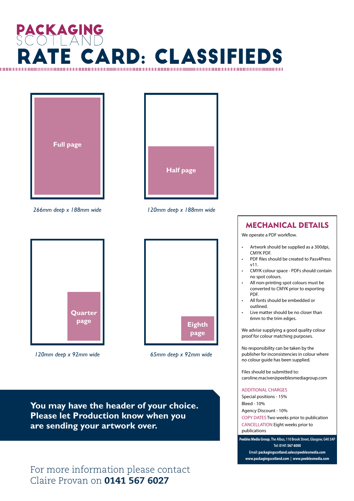



**You may have the header of your choice. Please let Production know when you are sending your artwork over.**

#### For more information please contact Claire Provan on 0141 567 6027

Files should be submitted to: caroline.maciver@peeblesmediagroup.com

#### ADDITIONAL CHARGES

Special positions - 15% Bleed - 10% Agency Discount - 10% COPY DATES Two weeks prior to publication CANCELLATION Eight weeks prior to publications

**Peebles Media Group, The Albus, 110 Brook Street, Glasgow, G40 3AP Tel: 0141 567 6000 Email: packagingscotland.sales@peeblesmedia.com www.packagingscotland.com | www.peeblesmedia.com**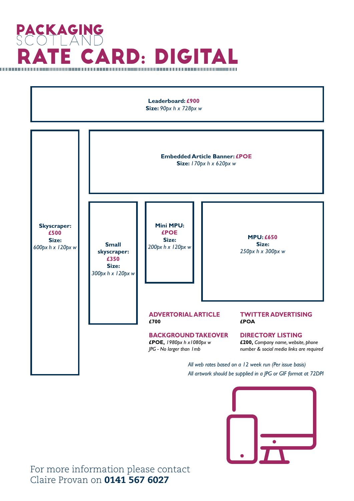